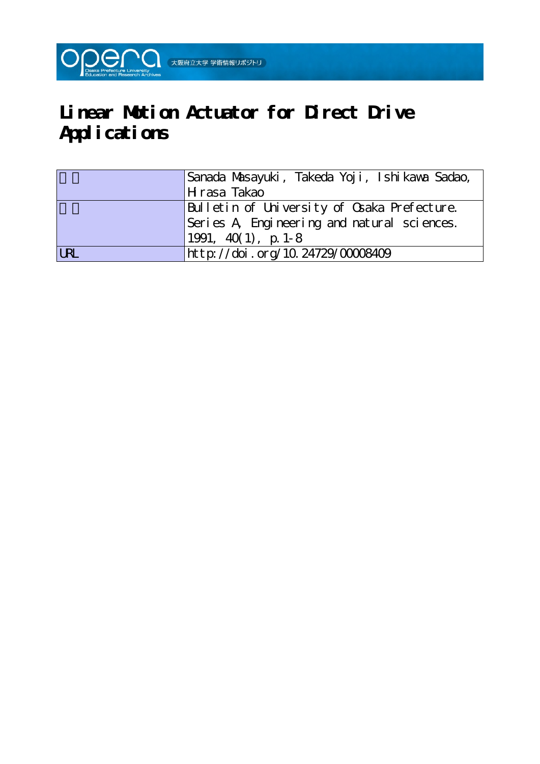

# **Linear Motion Actuator for Direct Drive Applications**

|            | Sanada Masayuki, Takeda Yoji, Ishikawa Sadao, |
|------------|-----------------------------------------------|
|            | H rasa Takao                                  |
|            | Bulletin of University of Osaka Prefecture.   |
|            | Series A Engineering and natural sciences.    |
|            | $1991, 40(1), p. 1-8$                         |
| <b>URL</b> | http://doi.org/10.24729/00008409              |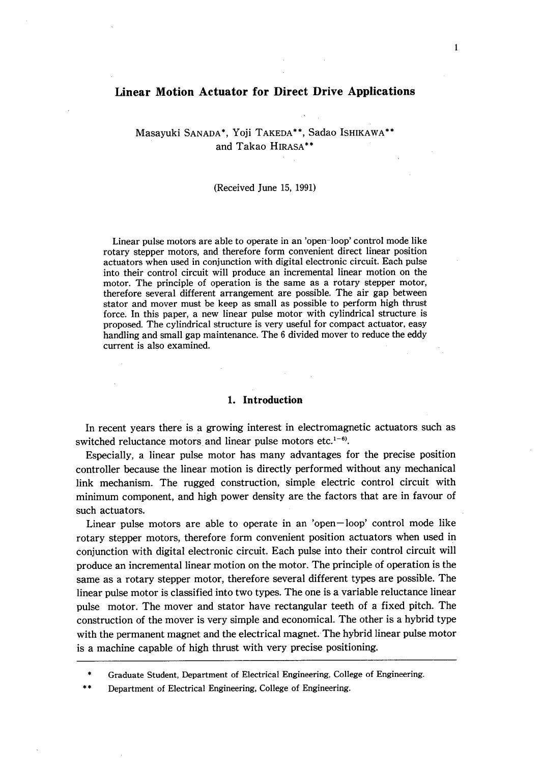## Linear Motion Actuator for Direct Drive Applications

Masayuki SANADA\*, Yoji TAKEDA\*\*, Sadao ISHIKAWA\*\* and Takao HIRASA'"

#### (Received June 15, 1991)

 Linear pulse motors are able to operate in an 'open-loop' control mode like rotary stepper motors, and therefore form convenient direct linear position actuators when used in conjunction with digital electronic circuit. Each pulse into their control circuit will produce an incremental linear motion on the motor. The principle of operation is the same as a rotary stepper motor, therefore several different arrangement are possible. The air gap between stator and mover must be keep as small as possible to perform high thrust force. In this paper, a new linear pulse motor with cylindrical structure is proposed. The cylindrical structure is very useful for compact actuator, easy handling and small gap maintenance. The 6 divided mover to reduce the eddy current is also examined.

#### 1. Introduction

 In recent years there is a growing interest in electromagnetic actuators such as switched reluctance motors and linear pulse motors etc. $1-6$ .

 Especially, a linear puise motor has many advantages for the precise position controller because the linear motion is directly performed without any mechanical link mechanism. The rugged construction, simple eiectric control circuit with minimum component, and high power density are the factors that are in favour of such actuators.

 Linear pulse motors are able to operate in an 'open-loop' control mode like rotary stepper motors, therefore form convenient position actuators when used in conjunction with digital electronic circuit. Each pulse into their control circuit will produce an incremental linear motion on the motor. The principle of operation is the same as a rotary stepper motor, therefore several different types are possible. The linear pulse motor is classified into two types. The one is a variable reluctance linear pulse motor. The mover and stator have rectangular teeth of a fixed pitch. The construction of the mover is very simple and economical. The other is a hybrid type with the permanent magnet and the electrical magnet. The hybrid linear pulse motor is a machine capable of high thrust with very precise positioning.

\*\* Department of Electrical Engineering, College of Engineering.

 <sup>\*</sup> Graduate Student, Department of Electrical Engineering, College of Engineering.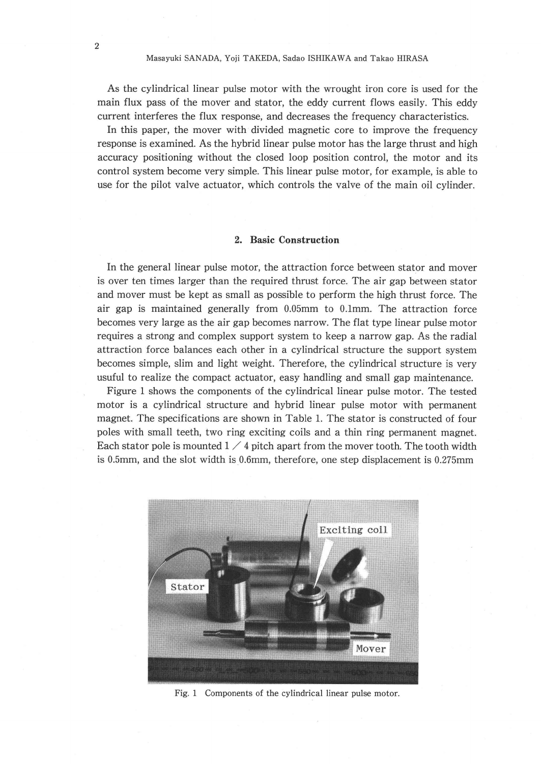As the cylindrical linear pulse motor with the wrought iron core is used for the main flux pass of the mover and stator, the eddy current flows easily. This eddy current interferes the flux response, and decreases the frequency characteristics.

 In this paper, the mover with divided magnetic core to improve the frequency response is examined. As the hybrid linear pulse motor has the large thrust and high accuracy positioning without the closed loop position control, the motor and its control system become very simple. This linear pulse motor, for example, is able to use for the pilot valve actuator, which controls the valve of the main oil cylinder.

#### 2. Basic Construction

 In the general linear pulse motor, the attraction force between stator and mover is over ten times larger than the required thrust force. The air gap between stator and mover must be kept as small as possible to perform the high thrust force. The air gap is maintained generally from O.05mm to O.lmm. The attraction force becomes very large as the air gap becomes narrow. The flat type linear pulse motor requires a strong and complex support system to keep a narrow gap. As the radial attraction force balances each other in a cylindrical structure the support system becomes simple, slim and light weight. Therefore, the cylindrical structure is very usuful to realize the compact actuator, easy handling and small gap maintenance.

 Figure 1 shows the components of the cylindrical linear pulse motor. The tested motor is a cylindrical structure and hybrid linear pulse motor with permanent magnet. The specifications are shown in Table 1. The stator is constructed of four poles with small teeth, two ring exciting coils and a thin ring permanent magnet. Each stator pole is mounted  $1 \times 4$  pitch apart from the mover tooth. The tooth width is 0.5mm, and the slot width is 0.6mm, therefore, one step displacement is 0.275mm



Fig. 1 Components of the cylindrical linear pulse motor.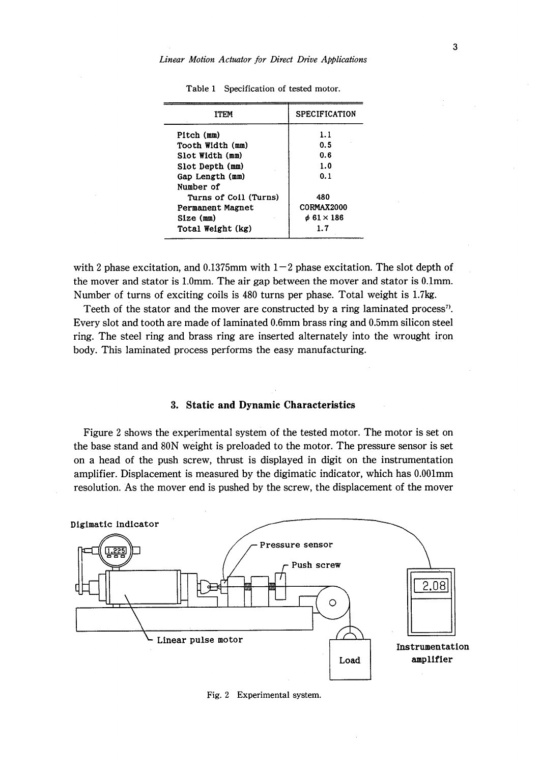| ITEM                  | <b>SPECIFICATION</b>   |
|-----------------------|------------------------|
| Pitch (mm)            | 1.1                    |
| Tooth Width (mm)      | 0.5                    |
| Slot Width (mm)       | 0.6                    |
| Slot Depth (mm)       | 1.0                    |
| Gap Length (mm)       | 0.1                    |
| Number of             |                        |
| Turns of Coil (Turns) | 480                    |
| Permanent Magnet      | <b>CORMAX2000</b>      |
| Size (mm)             | $\phi$ 61 $\times$ 186 |
| Total Weight (kg)     | 1.7                    |

Table 1 Specification of tested motor.

with 2 phase excitation, and 0.1375mm with  $1-2$  phase excitation. The slot depth of the mover and stator is 1.0mm. The air gap between the mover and stator is O.lmm. Number of turns of exciting coils is 480 turns per phase. Total weight is 1.7kg.

 Teeth of the stator and the mover are constructed by a ring laminated process'). Every slot and tooth are made of laminated O.6mm brass ring and O.5mm silicon steel ring. The steel ring and brass ring are inserted alternately into the wrought iron body. This laminated process performs the easy manufacturing.

#### 3. Static and Dynamic Characteristics

 Figure 2 shows the experimental system of the tested motor. The motor is set on the base stand and 80N weight is preloaded to the motor. The pressure sensor is set on a head of the push screw, thrust is displayed in digit on the instrumentation amplifier. Displacement is measured by 'the digimatic indicator, which has O.OOImm resolution. As the mover end is pushed by the screw, the displacement of the mover



Fig. 2 Experimental system.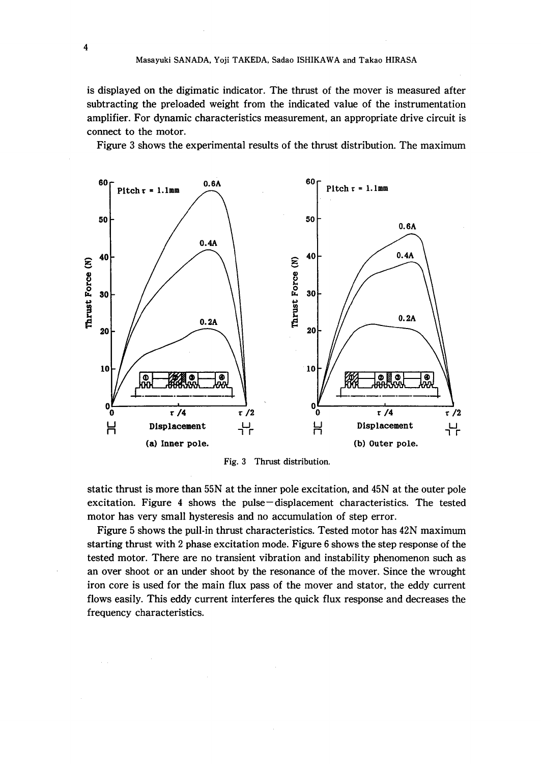is displayed on the digimatic indicator. The thrust of the mover is measured after subtracting the preloaded weight from the indicated value of the instrumentation amplifier. For dynamic characteristics measurement, an appropriate drive circuit is connect to the motor.

Figure 3 shows the experimental results of the thrust distribution. The maximum



Fig.3 Thrust distribution.

static thrust is more than 55N at the inner pole excitation, and 45N at the outer pole excitation. Figure 4 shows the pulse-displacement characteristics. The tested motor has very small hysteresis and no accumulation of step error.

 Figure 5 shows the pull-in thrust characteristics. Tested motor has 42N maximum starting thrust with 2 phase excitation mode. Figure 6 shows the step response of the tested motor. There are no transient vibration and instability phenomenon such as an over shoot or an under shoot by the resonance of the mover. Since the wrought iron core is used for the main flux pass of the mover and stator, the eddy current flows easily. This eddy current interferes the quick flux response and decreases the frequency characteristics.

4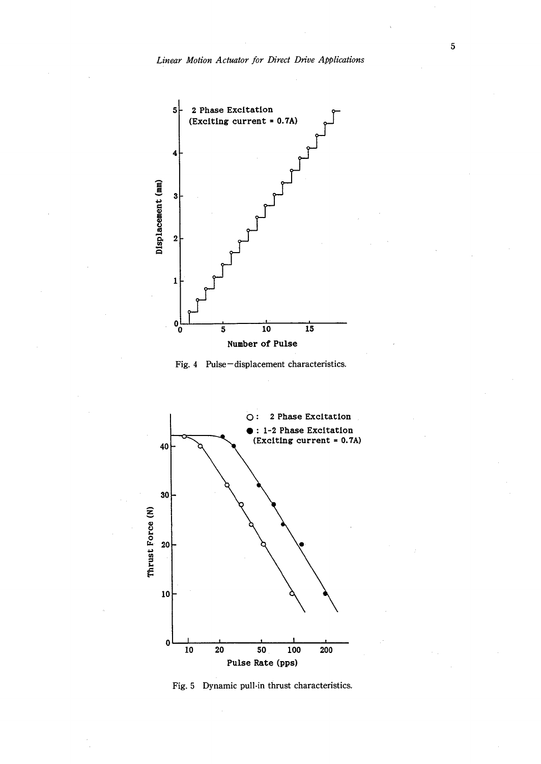





Fig. 5 Dynamic pull-in thrust characteristics.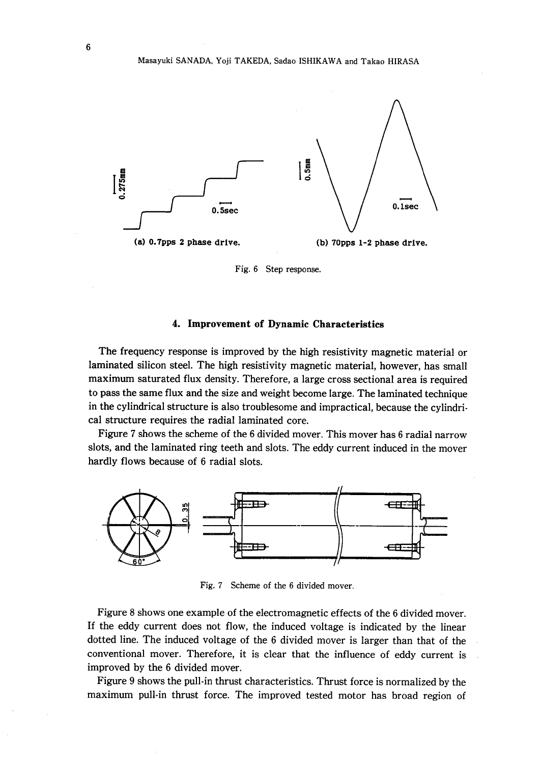

Fig. 6 Step response.

## 4. Improvement of Dynamic Characteristics

 The frequency response is improved by the high resistivity magnetic material or laminated silicon steel. The high resistivity magnetic material, however, has small maximum saturated flux density. Therefore, a large cross sectional area is required to pass the same flux and the size and weight become large. The laminated technique in the cylindrical structure is also troublesome and impractical, because the cylindrical structure requires the radial laminated core.

 Figure 7 shows the scheme of the 6 divided mover. This mover has 6 radial narrow slots, and the laminated ring teeth and slots. The eddy current induced in the mover hardly flows because of 6 radial slots.



Fig. 7 Scheme of the 6 divided mover.

 Figure 8 shows one example of the electromagnetic effects of the 6 divided mover. If the eddy current does not flow, the induced voltage is indicated by the linear dotted line. The induced voltage of the 6 divided mover is larger than that of the conventional mover. Therefore, it is clear that the influence of eddy current is improved by the 6 divided mover.

 Figure 9 shows the pull-in thrust characteristics. Thrust force is normalized by the maximum pull-in thrust force. The improved tested motor has broad region of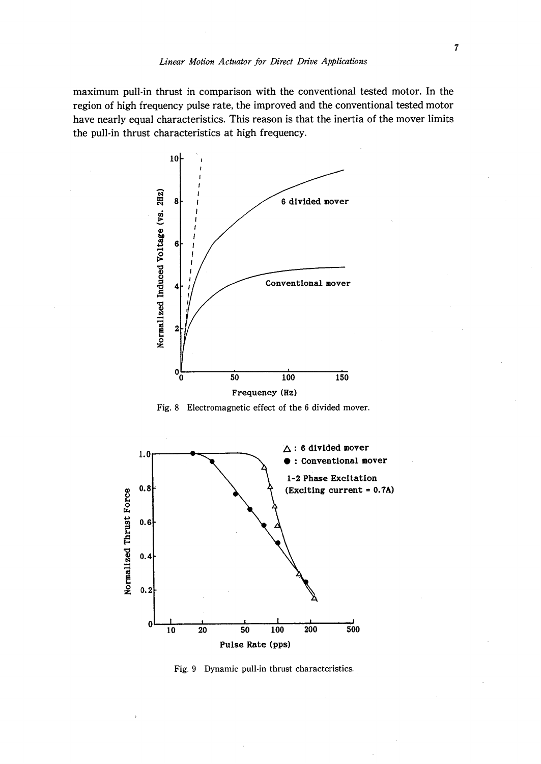maximum pu!1-in thrust in comparison with the conventional tested motor. In the region of high frequency pulse rate, the improved and the conventional tested motor have nearly equal characteristics. This reason is that the inertia of the mover limits the pull-in thrust characteristics at high frequency.







Fig. 9 Dynamic pull-in thrust characteristics.